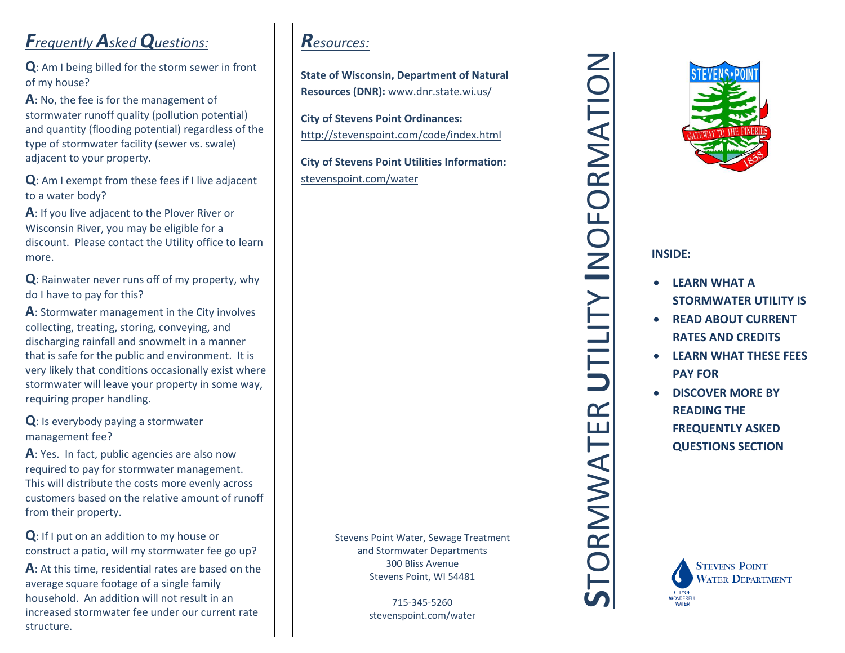# *Frequently Asked Questions:*

**Q**: Am I being billed for the storm sewer in front of my house?

**A**: No, the fee is for the management of stormwater runoff quality (pollution potential) and quantity (flooding potential) regardless of the type of stormwater facility (sewer vs. swale) adjacent to your property.

**Q**: Am I exempt from these fees if I live adjacent to a water body?

**A**: If you live adjacent to the Plover River or Wisconsin River, you may be eligible for a discount. Please contact the Utility office to learn more.

**Q**: Rainwater never runs off of my property, why do I have to pay for this?

**A**: Stormwater management in the City involves collecting, treating, storing, conveying, and discharging rainfall and snowmelt in a manner that is safe for the public and environment. It is very likely that conditions occasionally exist where stormwater will leave your property in some way, requiring proper handling.

**Q**: Is everybody paying a stormwater management fee?

**A**: Yes. In fact, public agencies are also now required to pay for stormwater management. This will distribute the costs more evenly across customers based on the relative amount of runoff from their property.

**Q**: If I put on an addition to my house or construct a patio, will my stormwater fee go up? **A**: At this time, residential rates are based on the average square footage of a single family household. An addition will not result in an increased stormwater fee under our current rate structure.

## *Resources:*

**State of Wisconsin, Department of Natural Resources (DNR):** www.dnr.state.wi.us/

**City of Stevens Point Ordinances:** http://stevenspoint.com/code/index.html

**City of Stevens Point Utilities Information:** stevenspoint.com/water

> Stevens Point Water, Sewage Treatment and Stormwater Departments 300 Bliss Avenue Stevens Point, WI 54481

> > 715-345-5260 stevenspoint.com/water

**SRMWATER U**TILITY **I**NOFORMATION



## **INSIDE:**

- **LEARN WHAT A STORMWATER UTILITY IS**
- **READ ABOUT CURRENT RATES AND CREDITS**
- **LEARN WHAT THESE FEES PAY FOR**
- **DISCOVER MORE BY READING THE FREQUENTLY ASKED QUESTIONS SECTION**